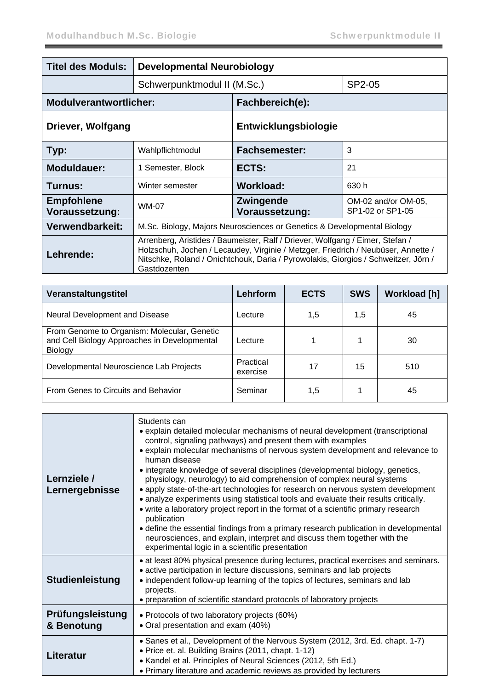| <b>Titel des Moduls:</b>            | <b>Developmental Neurobiology</b>                                                                                                                                                                                                                                        |                                                                               |        |  |
|-------------------------------------|--------------------------------------------------------------------------------------------------------------------------------------------------------------------------------------------------------------------------------------------------------------------------|-------------------------------------------------------------------------------|--------|--|
|                                     | Schwerpunktmodul II (M.Sc.)                                                                                                                                                                                                                                              |                                                                               | SP2-05 |  |
| <b>Modulverantwortlicher:</b>       |                                                                                                                                                                                                                                                                          | Fachbereich(e):                                                               |        |  |
| Driever, Wolfgang                   |                                                                                                                                                                                                                                                                          | Entwicklungsbiologie                                                          |        |  |
| Typ:                                | Wahlpflichtmodul                                                                                                                                                                                                                                                         | 3<br><b>Fachsemester:</b>                                                     |        |  |
| <b>Moduldauer:</b>                  | 1 Semester, Block                                                                                                                                                                                                                                                        | ECTS:                                                                         | 21     |  |
| Turnus:                             | Winter semester                                                                                                                                                                                                                                                          | Workload:<br>630 h                                                            |        |  |
| <b>Empfohlene</b><br>Voraussetzung: | WM-07                                                                                                                                                                                                                                                                    | <b>Zwingende</b><br>OM-02 and/or OM-05,<br>SP1-02 or SP1-05<br>Voraussetzung: |        |  |
| Verwendbarkeit:                     | M.Sc. Biology, Majors Neurosciences or Genetics & Developmental Biology                                                                                                                                                                                                  |                                                                               |        |  |
| Lehrende:                           | Arrenberg, Aristides / Baumeister, Ralf / Driever, Wolfgang / Eimer, Stefan /<br>Holzschuh, Jochen / Lecaudey, Virginie / Metzger, Friedrich / Neubüser, Annette /<br>Nitschke, Roland / Onichtchouk, Daria / Pyrowolakis, Giorgios / Schweitzer, Jörn /<br>Gastdozenten |                                                                               |        |  |

| Veranstaltungstitel                                                                                    | <b>Lehrform</b>       | <b>ECTS</b> | <b>SWS</b> | <b>Workload [h]</b> |
|--------------------------------------------------------------------------------------------------------|-----------------------|-------------|------------|---------------------|
| Neural Development and Disease                                                                         | Lecture               | 1,5         | 1,5        | 45                  |
| From Genome to Organism: Molecular, Genetic<br>and Cell Biology Approaches in Developmental<br>Biology | Lecture               |             | 4          | 30                  |
| Developmental Neuroscience Lab Projects                                                                | Practical<br>exercise | 17          | 15         | 510                 |
| From Genes to Circuits and Behavior                                                                    | Seminar               | 1,5         |            | 45                  |

| Lernziele /<br>Lernergebnisse  | Students can<br>• explain detailed molecular mechanisms of neural development (transcriptional<br>control, signaling pathways) and present them with examples<br>• explain molecular mechanisms of nervous system development and relevance to<br>human disease<br>• integrate knowledge of several disciplines (developmental biology, genetics,<br>physiology, neurology) to aid comprehension of complex neural systems<br>• apply state-of-the-art technologies for research on nervous system development<br>• analyze experiments using statistical tools and evaluate their results critically.<br>• write a laboratory project report in the format of a scientific primary research<br>publication<br>• define the essential findings from a primary research publication in developmental<br>neurosciences, and explain, interpret and discuss them together with the<br>experimental logic in a scientific presentation |
|--------------------------------|------------------------------------------------------------------------------------------------------------------------------------------------------------------------------------------------------------------------------------------------------------------------------------------------------------------------------------------------------------------------------------------------------------------------------------------------------------------------------------------------------------------------------------------------------------------------------------------------------------------------------------------------------------------------------------------------------------------------------------------------------------------------------------------------------------------------------------------------------------------------------------------------------------------------------------|
| Studienleistung                | • at least 80% physical presence during lectures, practical exercises and seminars.<br>• active participation in lecture discussions, seminars and lab projects<br>• independent follow-up learning of the topics of lectures, seminars and lab<br>projects.<br>• preparation of scientific standard protocols of laboratory projects                                                                                                                                                                                                                                                                                                                                                                                                                                                                                                                                                                                              |
| Prüfungsleistung<br>& Benotung | • Protocols of two laboratory projects (60%)<br>• Oral presentation and exam (40%)                                                                                                                                                                                                                                                                                                                                                                                                                                                                                                                                                                                                                                                                                                                                                                                                                                                 |
| Literatur                      | • Sanes et al., Development of the Nervous System (2012, 3rd. Ed. chapt. 1-7)<br>· Price et. al. Building Brains (2011, chapt. 1-12)<br>• Kandel et al. Principles of Neural Sciences (2012, 5th Ed.)<br>• Primary literature and academic reviews as provided by lecturers                                                                                                                                                                                                                                                                                                                                                                                                                                                                                                                                                                                                                                                        |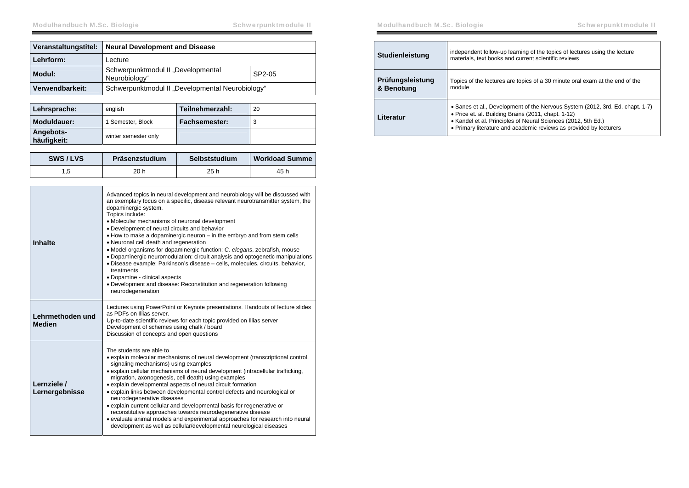| Veranstaltungstitel: | <b>Neural Development and Disease</b>                         |  |
|----------------------|---------------------------------------------------------------|--|
| Lehrform:            | Lecture                                                       |  |
| Modul:               | Schwerpunktmodul II "Developmental<br>SP2-05<br>Neurobiology" |  |
| Verwendbarkeit:      | Schwerpunktmodul II "Developmental Neurobiology"              |  |

| Lehrsprache:             | english              | Teilnehmerzahl: | 20 |
|--------------------------|----------------------|-----------------|----|
| Moduldauer:              | 1 Semester, Block    | Fachsemester:   |    |
| Angebots-<br>häufigkeit: | winter semester only |                 |    |

| SWS/LVS | Präsenzstudium | Selbststudium | <b>Workload Summe</b> |
|---------|----------------|---------------|-----------------------|
|         | 20 h           | 25 h          | 45 h                  |

| Inhalte                           | Advanced topics in neural development and neurobiology will be discussed with<br>an exemplary focus on a specific, disease relevant neurotransmitter system, the<br>dopaminergic system.<br>Topics include:<br>• Molecular mechanisms of neuronal development<br>• Development of neural circuits and behavior<br>. How to make a dopaminergic neuron – in the embryo and from stem cells<br>• Neuronal cell death and regeneration<br>• Model organisms for dopaminergic function: C. elegans, zebrafish, mouse<br>• Dopaminergic neuromodulation: circuit analysis and optogenetic manipulations<br>· Disease example: Parkinson's disease - cells, molecules, circuits, behavior,<br>treatments<br>• Dopamine - clinical aspects<br>· Development and disease: Reconstitution and regeneration following<br>neurodegeneration |
|-----------------------------------|----------------------------------------------------------------------------------------------------------------------------------------------------------------------------------------------------------------------------------------------------------------------------------------------------------------------------------------------------------------------------------------------------------------------------------------------------------------------------------------------------------------------------------------------------------------------------------------------------------------------------------------------------------------------------------------------------------------------------------------------------------------------------------------------------------------------------------|
| Lehrmethoden und<br><b>Medien</b> | Lectures using PowerPoint or Keynote presentations. Handouts of lecture slides<br>as PDFs on Illias server.<br>Up-to-date scientific reviews for each topic provided on Illias server<br>Development of schemes using chalk / board<br>Discussion of concepts and open questions                                                                                                                                                                                                                                                                                                                                                                                                                                                                                                                                                 |
| Lernziele /<br>Lernergebnisse     | The students are able to<br>• explain molecular mechanisms of neural development (transcriptional control,<br>signaling mechanisms) using examples<br>• explain cellular mechanisms of neural development (intracellular trafficking,<br>migration, axonogenesis, cell death) using examples<br>• explain developmental aspects of neural circuit formation<br>• explain links between developmental control defects and neurological or<br>neurodegenerative diseases<br>• explain current cellular and developmental basis for regenerative or<br>reconstitutive approaches towards neurodegenerative disease<br>• evaluate animal models and experimental approaches for research into neural<br>development as well as cellular/developmental neurological diseases                                                          |

| Studienleistung                | independent follow-up learning of the topics of lectures using the lecture<br>materials, text books and current scientific reviews                                                                                                                                          |
|--------------------------------|-----------------------------------------------------------------------------------------------------------------------------------------------------------------------------------------------------------------------------------------------------------------------------|
| Prüfungsleistung<br>& Benotung | Topics of the lectures are topics of a 30 minute oral exam at the end of the<br>module                                                                                                                                                                                      |
| Literatur                      | • Sanes et al., Development of the Nervous System (2012, 3rd. Ed. chapt. 1-7)<br>• Price et. al. Building Brains (2011, chapt. 1-12)<br>• Kandel et al. Principles of Neural Sciences (2012, 5th Ed.)<br>• Primary literature and academic reviews as provided by lecturers |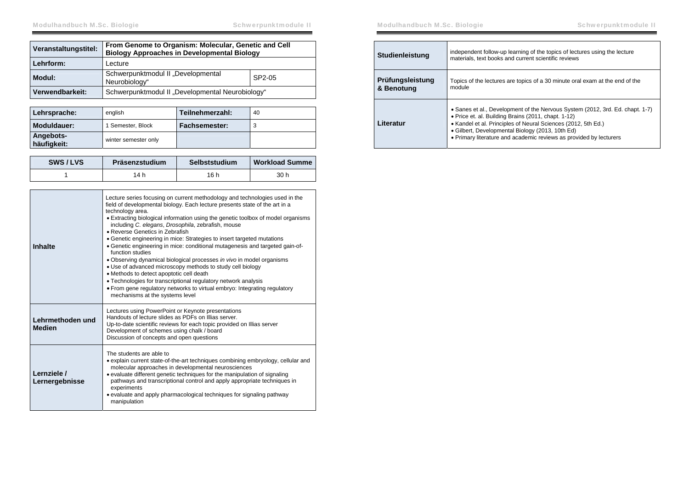| Veranstaltungstitel: | From Genome to Organism: Molecular, Genetic and Cell<br><b>Biology Approaches in Developmental Biology</b> |  |
|----------------------|------------------------------------------------------------------------------------------------------------|--|
| Lehrform:            | Lecture                                                                                                    |  |
| Modul:               | Schwerpunktmodul II "Developmental<br>SP2-05<br>Neurobiology"                                              |  |
| Verwendbarkeit:      | Schwerpunktmodul II "Developmental Neurobiology"                                                           |  |

| Lehrsprache:             | english              | Teilnehmerzahl: | 40 |
|--------------------------|----------------------|-----------------|----|
| Moduldauer:              | 1 Semester, Block    | Fachsemester:   |    |
| Angebots-<br>häufigkeit: | winter semester only |                 |    |

| SWS/LVS | Präsenzstudium | Selbststudium | <b>Workload Summe</b> |
|---------|----------------|---------------|-----------------------|
|         | 14 h           | 16 h          | 30 h                  |

| <b>Inhalte</b>                    | Lecture series focusing on current methodology and technologies used in the<br>field of developmental biology. Each lecture presents state of the art in a<br>technology area.<br>• Extracting biological information using the genetic toolbox of model organisms<br>including C. elegans, Drosophila, zebrafish, mouse<br>• Reverse Genetics in Zebrafish<br>• Genetic engineering in mice: Strategies to insert targeted mutations<br>• Genetic engineering in mice: conditional mutagenesis and targeted gain-of-<br>function studies<br>• Observing dynamical biological processes in vivo in model organisms<br>• Use of advanced microscopy methods to study cell biology<br>• Methods to detect apoptotic cell death<br>• Technologies for transcriptional regulatory network analysis<br>• From gene regulatory networks to virtual embryo: Integrating regulatory<br>mechanisms at the systems level |
|-----------------------------------|----------------------------------------------------------------------------------------------------------------------------------------------------------------------------------------------------------------------------------------------------------------------------------------------------------------------------------------------------------------------------------------------------------------------------------------------------------------------------------------------------------------------------------------------------------------------------------------------------------------------------------------------------------------------------------------------------------------------------------------------------------------------------------------------------------------------------------------------------------------------------------------------------------------|
| Lehrmethoden und<br><b>Medien</b> | Lectures using PowerPoint or Keynote presentations<br>Handouts of lecture slides as PDEs on Illias server<br>Up-to-date scientific reviews for each topic provided on Illias server<br>Development of schemes using chalk / board<br>Discussion of concepts and open questions                                                                                                                                                                                                                                                                                                                                                                                                                                                                                                                                                                                                                                 |
| Lernziele /<br>Lernergebnisse     | The students are able to<br>• explain current state-of-the-art techniques combining embryology, cellular and<br>molecular approaches in developmental neurosciences<br>• evaluate different genetic techniques for the manipulation of signaling<br>pathways and transcriptional control and apply appropriate techniques in<br>experiments<br>• evaluate and apply pharmacological techniques for signaling pathway<br>manipulation                                                                                                                                                                                                                                                                                                                                                                                                                                                                           |

| <b>Studienleistung</b>         | independent follow-up learning of the topics of lectures using the lecture<br>materials, text books and current scientific reviews                                                                                                                                                                                              |
|--------------------------------|---------------------------------------------------------------------------------------------------------------------------------------------------------------------------------------------------------------------------------------------------------------------------------------------------------------------------------|
| Prüfungsleistung<br>& Benotung | Topics of the lectures are topics of a 30 minute oral exam at the end of the<br>module                                                                                                                                                                                                                                          |
| Literatur                      | • Sanes et al., Development of the Nervous System (2012, 3rd. Ed. chapt. 1-7)<br>• Price et. al. Building Brains (2011, chapt. 1-12)<br>• Kandel et al. Principles of Neural Sciences (2012, 5th Ed.)<br>• Gilbert, Developmental Biology (2013, 10th Ed)<br>• Primary literature and academic reviews as provided by lecturers |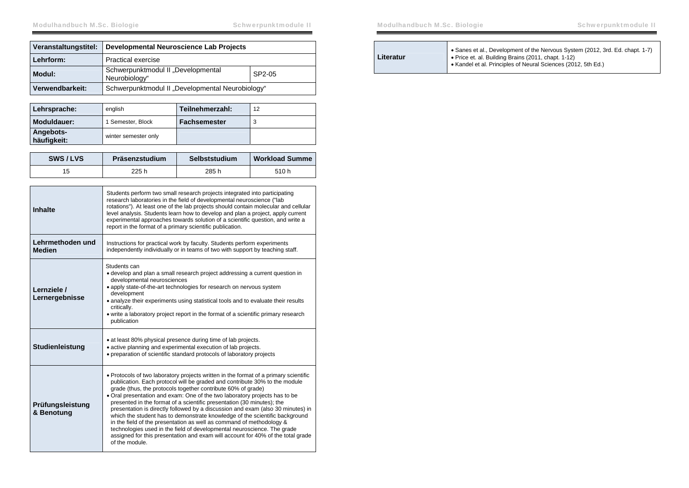| Veranstaltungstitel: | Developmental Neuroscience Lab Projects             |        |
|----------------------|-----------------------------------------------------|--------|
| Lehrform:            | <b>Practical exercise</b>                           |        |
| Modul:               | Schwerpunktmodul II "Developmental<br>Neurobiology" | SP2-05 |
| Verwendbarkeit:      | Schwerpunktmodul II "Developmental Neurobiology"    |        |

| Lehrsprache:             | english              | Teilnehmerzahl:     | 12 |
|--------------------------|----------------------|---------------------|----|
| Moduldauer:              | 1 Semester, Block    | <b>Fachsemester</b> |    |
| Angebots-<br>häufigkeit: | winter semester only |                     |    |

| SWS/LVS | Präsenzstudium | Selbststudium | <b>Workload Summe</b> |
|---------|----------------|---------------|-----------------------|
|         | 225 h          | 285 h         | 510 h                 |

| Inhalte                           | Students perform two small research projects integrated into participating<br>research laboratories in the field of developmental neuroscience ("lab<br>rotations"). At least one of the lab projects should contain molecular and cellular<br>level analysis. Students learn how to develop and plan a project, apply current<br>experimental approaches towards solution of a scientific question, and write a<br>report in the format of a primary scientific publication.                                                                                                                                                                                                                                                                                                                                        |
|-----------------------------------|----------------------------------------------------------------------------------------------------------------------------------------------------------------------------------------------------------------------------------------------------------------------------------------------------------------------------------------------------------------------------------------------------------------------------------------------------------------------------------------------------------------------------------------------------------------------------------------------------------------------------------------------------------------------------------------------------------------------------------------------------------------------------------------------------------------------|
| Lehrmethoden und<br><b>Medien</b> | Instructions for practical work by faculty. Students perform experiments<br>independently individually or in teams of two with support by teaching staff.                                                                                                                                                                                                                                                                                                                                                                                                                                                                                                                                                                                                                                                            |
| Lernziele /<br>Lernergebnisse     | Students can<br>• develop and plan a small research project addressing a current question in<br>developmental neurosciences<br>• apply state-of-the-art technologies for research on nervous system<br>development<br>• analyze their experiments using statistical tools and to evaluate their results<br>critically.<br>• write a laboratory project report in the format of a scientific primary research<br>publication                                                                                                                                                                                                                                                                                                                                                                                          |
| Studienleistung                   | • at least 80% physical presence during time of lab projects.<br>• active planning and experimental execution of lab projects.<br>• preparation of scientific standard protocols of laboratory projects                                                                                                                                                                                                                                                                                                                                                                                                                                                                                                                                                                                                              |
| Prüfungsleistung<br>& Benotung    | • Protocols of two laboratory projects written in the format of a primary scientific<br>publication. Each protocol will be graded and contribute 30% to the module<br>grade (thus, the protocols together contribute 60% of grade)<br>• Oral presentation and exam: One of the two laboratory projects has to be<br>presented in the format of a scientific presentation (30 minutes); the<br>presentation is directly followed by a discussion and exam (also 30 minutes) in<br>which the student has to demonstrate knowledge of the scientific background<br>in the field of the presentation as well as command of methodology &<br>technologies used in the field of developmental neuroscience. The grade<br>assigned for this presentation and exam will account for 40% of the total grade<br>of the module. |

| Literatur | • Sanes et al., Development of the Nervous System (2012, 3rd. Ed. chapt. 1-7)<br>• Price et. al. Building Brains (2011, chapt. 1-12)<br>• Kandel et al. Principles of Neural Sciences (2012, 5th Ed.) |
|-----------|-------------------------------------------------------------------------------------------------------------------------------------------------------------------------------------------------------|
|-----------|-------------------------------------------------------------------------------------------------------------------------------------------------------------------------------------------------------|